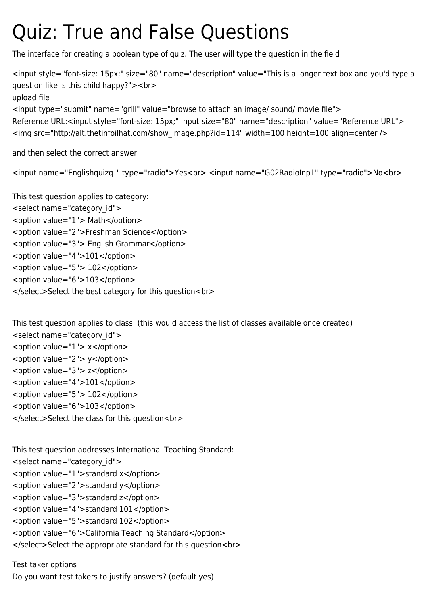## Quiz: True and False Questions

The interface for creating a boolean type of quiz. The user will type the question in the field

<input style="font-size: 15px;" size="80" name="description" value="This is a longer text box and you'd type a question like Is this child happy?"><br> upload file <input type="submit" name="grill" value="browse to attach an image/ sound/ movie file">

```
Reference URL:<input style="font-size: 15px;" input size="80" name="description" value="Reference URL">
<img src="http://alt.thetinfoilhat.com/show_image.php?id=114" width=100 height=100 align=center />
```
and then select the correct answer

<input name="Englishquizq\_" type="radio">Yes<br> <input name="G02RadioInp1" type="radio">No<br>

This test question applies to category: <select name="category\_id"> <option value="1"> Math</option> <option value="2">Freshman Science</option> <option value="3"> English Grammar</option> <option value="4">101</option> <option value="5"> 102</option> <option value="6">103</option> </select>Select the best category for this question<br>

This test question applies to class: (this would access the list of classes available once created) <select name="category\_id"> <option value="1"> x</option> <option value="2"> y</option> <option value="3"> z</option> <option value="4">101</option> <option value="5"> 102</option> <option value="6">103</option> </select>Select the class for this question<br>

This test question addresses International Teaching Standard: <select name="category\_id"> <option value="1">standard x</option> <option value="2">standard y</option> <option value="3">standard z</option> <option value="4">standard 101</option> <option value="5">standard 102</option> <option value="6">California Teaching Standard</option>

</select>Select the appropriate standard for this question<br>

Test taker options Do you want test takers to justify answers? (default yes)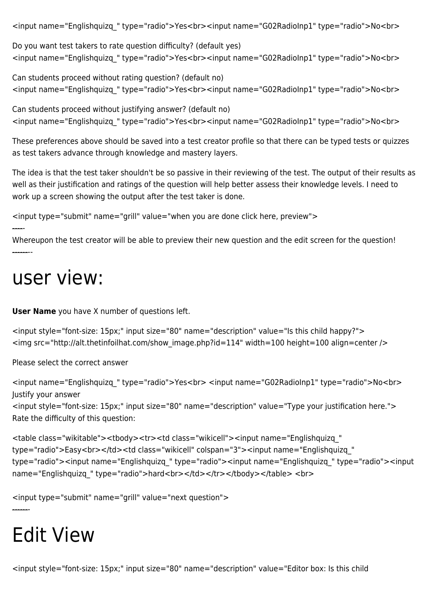<input name="Englishquizq\_" type="radio">Yes<br><input name="G02RadioInp1" type="radio">No<br>

Do you want test takers to rate question difficulty? (default yes) <input name="Englishquizq\_" type="radio">Yes<br><input name="G02RadioInp1" type="radio">No<br>

Can students proceed without rating question? (default no) <input name="Englishquizq\_" type="radio">Yes<br><input name="G02RadioInp1" type="radio">No<br>

```
Can students proceed without justifying answer? (default no)
<input name="Englishquizq_" type="radio">Yes<br><input name="G02RadioInp1" type="radio">No<br>
```
These preferences above should be saved into a test creator profile so that there can be typed tests or quizzes as test takers advance through knowledge and mastery layers.

The idea is that the test taker shouldn't be so passive in their reviewing of the test. The output of their results as well as their justification and ratings of the question will help better assess their knowledge levels. I need to work up a screen showing the output after the test taker is done.

```
<input type="submit" name="grill" value="when you are done click here, preview">
```
-----

Whereupon the test creator will be able to preview their new question and the edit screen for the question! --------

## user view:

**User Name** you have X number of questions left.

```
<input style="font-size: 15px;" input size="80" name="description" value="Is this child happy?">
<img src="http://alt.thetinfoilhat.com/show_image.php?id=114" width=100 height=100 align=center />
```
Please select the correct answer

```
<input name="Englishquizq_" type="radio">Yes<br> <input name="G02RadioInp1" type="radio">No<br>
Justify your answer
<input style="font-size: 15px;" input size="80" name="description" value="Type your justification here.">
Rate the difficulty of this question:
```

```
<table class="wikitable"><tbody><tr><td class="wikicell"><input name="Englishquizq_"
type="radio">Easy<br></td><td class="wikicell" colspan="3"><input name="Englishquizq "
type="radio"><input name="Englishquizq_" type="radio"><input name="Englishquizq_" type="radio"><input
name="Englishquizq_" type="radio">hard<br></td></td></tr></tbody></table><br>
```
<input type="submit" name="grill" value="next question">

## Edit View

-------